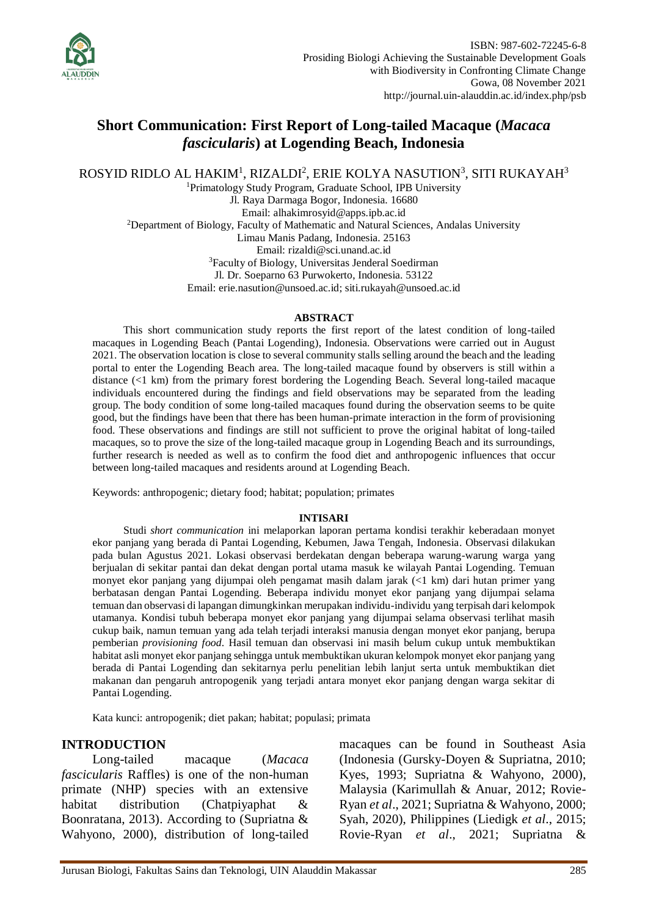

# **Short Communication: First Report of Long-tailed Macaque (***Macaca fascicularis***) at Logending Beach, Indonesia**

ROSYID RIDLO AL HAKIM<sup>1</sup>, RIZALDI<sup>2</sup>, ERIE KOLYA NASUTION $^3$ , SITI RUKAYAH $^3$ 

<sup>1</sup>Primatology Study Program, Graduate School, IPB University Jl. Raya Darmaga Bogor, Indonesia. 16680 Email: [alhakimrosyid@apps.ipb.ac.id](mailto:alhakimrosyid@apps.ipb.ac.id) <sup>2</sup>Department of Biology, Faculty of Mathematic and Natural Sciences, Andalas University Limau Manis Padang, Indonesia. 25163 Email: [rizaldi@sci.unand.ac.id](mailto:rizaldi@sci.unand.ac.id) <sup>3</sup>Faculty of Biology, Universitas Jenderal Soedirman Jl. Dr. Soeparno 63 Purwokerto, Indonesia. 53122 Email: [erie.nasution@unsoed.ac.id;](mailto:erie.nasution@unsoed.ac.id) [siti.rukayah@unsoed.ac.id](mailto:siti.rukayah@unsoed.ac.id)

### **ABSTRACT**

This short communication study reports the first report of the latest condition of long-tailed macaques in Logending Beach (Pantai Logending), Indonesia. Observations were carried out in August 2021. The observation location is close to several community stalls selling around the beach and the leading portal to enter the Logending Beach area. The long-tailed macaque found by observers is still within a distance (<1 km) from the primary forest bordering the Logending Beach. Several long-tailed macaque individuals encountered during the findings and field observations may be separated from the leading group. The body condition of some long-tailed macaques found during the observation seems to be quite good, but the findings have been that there has been human-primate interaction in the form of provisioning food. These observations and findings are still not sufficient to prove the original habitat of long-tailed macaques, so to prove the size of the long-tailed macaque group in Logending Beach and its surroundings, further research is needed as well as to confirm the food diet and anthropogenic influences that occur between long-tailed macaques and residents around at Logending Beach.

Keywords: anthropogenic; dietary food; habitat; population; primates

### **INTISARI**

Studi *short communication* ini melaporkan laporan pertama kondisi terakhir keberadaan monyet ekor panjang yang berada di Pantai Logending, Kebumen, Jawa Tengah, Indonesia. Observasi dilakukan pada bulan Agustus 2021. Lokasi observasi berdekatan dengan beberapa warung-warung warga yang berjualan di sekitar pantai dan dekat dengan portal utama masuk ke wilayah Pantai Logending. Temuan monyet ekor panjang yang dijumpai oleh pengamat masih dalam jarak (<1 km) dari hutan primer yang berbatasan dengan Pantai Logending. Beberapa individu monyet ekor panjang yang dijumpai selama temuan dan observasi di lapangan dimungkinkan merupakan individu-individu yang terpisah dari kelompok utamanya. Kondisi tubuh beberapa monyet ekor panjang yang dijumpai selama observasi terlihat masih cukup baik, namun temuan yang ada telah terjadi interaksi manusia dengan monyet ekor panjang, berupa pemberian *provisioning food*. Hasil temuan dan observasi ini masih belum cukup untuk membuktikan habitat asli monyet ekor panjang sehingga untuk membuktikan ukuran kelompok monyet ekor panjang yang berada di Pantai Logending dan sekitarnya perlu penelitian lebih lanjut serta untuk membuktikan diet makanan dan pengaruh antropogenik yang terjadi antara monyet ekor panjang dengan warga sekitar di Pantai Logending.

Kata kunci: antropogenik; diet pakan; habitat; populasi; primata

## **INTRODUCTION**

Long-tailed macaque (*Macaca fascicularis* Raffles) is one of the non-human primate (NHP) species with an extensive habitat distribution (Chatpiyaphat & Boonratana, 2013). According to (Supriatna & Wahyono, 2000), distribution of long-tailed macaques can be found in Southeast Asia (Indonesia (Gursky-Doyen & Supriatna, 2010; Kyes, 1993; Supriatna & Wahyono, 2000), Malaysia (Karimullah & Anuar, 2012; Rovie-Ryan *et al*., 2021; Supriatna & Wahyono, 2000; Syah, 2020), Philippines (Liedigk *et al*., 2015; Rovie-Ryan *et al*., 2021; Supriatna &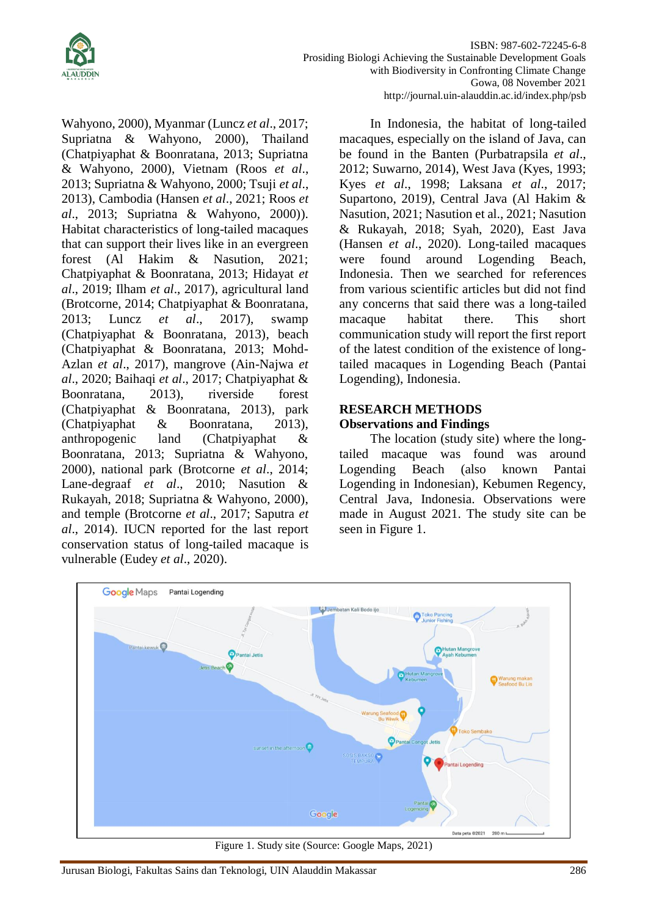

Wahyono, 2000), Myanmar (Luncz *et al*., 2017; Supriatna & Wahyono, 2000), Thailand (Chatpiyaphat & Boonratana, 2013; Supriatna & Wahyono, 2000), Vietnam (Roos *et al*., 2013; Supriatna & Wahyono, 2000; Tsuji *et al*., 2013), Cambodia (Hansen *et al*., 2021; Roos *et al*., 2013; Supriatna & Wahyono, 2000)). Habitat characteristics of long-tailed macaques that can support their lives like in an evergreen forest (Al Hakim & Nasution, 2021; Chatpiyaphat & Boonratana, 2013; Hidayat *et al*., 2019; Ilham *et al*., 2017), agricultural land (Brotcorne, 2014; Chatpiyaphat & Boonratana, 2013; Luncz *et al*., 2017), swamp (Chatpiyaphat & Boonratana, 2013), beach (Chatpiyaphat & Boonratana, 2013; Mohd-Azlan *et al*., 2017), mangrove (Ain-Najwa *et al*., 2020; Baihaqi *et al*., 2017; Chatpiyaphat & Boonratana, 2013), riverside forest (Chatpiyaphat & Boonratana, 2013), park (Chatpiyaphat & Boonratana, 2013), anthropogenic land (Chatpiyaphat & Boonratana, 2013; Supriatna & Wahyono, 2000), national park (Brotcorne *et al*., 2014; Lane-degraaf *et al*., 2010; Nasution & Rukayah, 2018; Supriatna & Wahyono, 2000), and temple (Brotcorne *et al*., 2017; Saputra *et al*., 2014). IUCN reported for the last report conservation status of long-tailed macaque is vulnerable (Eudey *et al*., 2020).

In Indonesia, the habitat of long-tailed macaques, especially on the island of Java, can be found in the Banten (Purbatrapsila *et al*., 2012; Suwarno, 2014), West Java (Kyes, 1993; Kyes *et al*., 1998; Laksana *et al*., 2017; Supartono, 2019), Central Java (Al Hakim & Nasution, 2021; Nasution et al., 2021; Nasution & Rukayah, 2018; Syah, 2020), East Java (Hansen *et al*., 2020). Long-tailed macaques were found around Logending Beach, Indonesia. Then we searched for references from various scientific articles but did not find any concerns that said there was a long-tailed macaque habitat there. This short communication study will report the first report of the latest condition of the existence of longtailed macaques in Logending Beach (Pantai Logending), Indonesia.

# **RESEARCH METHODS Observations and Findings**

The location (study site) where the longtailed macaque was found was around Logending Beach (also known Pantai Logending in Indonesian), Kebumen Regency, Central Java, Indonesia. Observations were made in August 2021. The study site can be seen in Figure 1.



Figure 1. Study site (Source: Google Maps, 2021)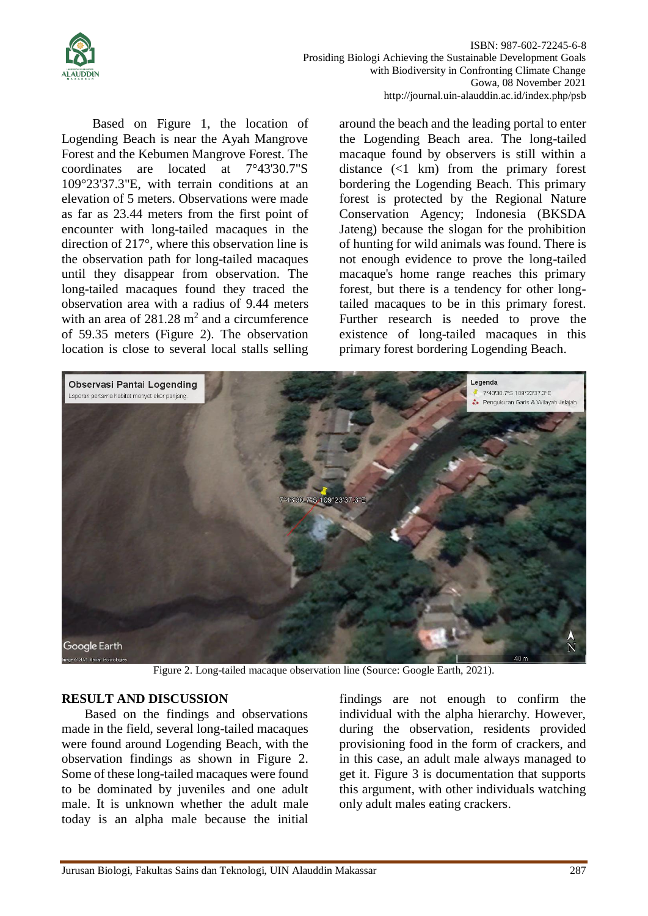

ISBN: 987-602-72245-6-8 Prosiding Biologi Achieving the Sustainable Development Goals with Biodiversity in Confronting Climate Change Gowa, 08 November 2021 http://journal.uin-alauddin.ac.id/index.php/psb

Based on Figure 1, the location of Logending Beach is near the Ayah Mangrove Forest and the Kebumen Mangrove Forest. The coordinates are located at 7°43'30.7"S 109°23'37.3"E, with terrain conditions at an elevation of 5 meters. Observations were made as far as 23.44 meters from the first point of encounter with long-tailed macaques in the direction of 217°, where this observation line is the observation path for long-tailed macaques until they disappear from observation. The long-tailed macaques found they traced the observation area with a radius of 9.44 meters with an area of  $281.28 \text{ m}^2$  and a circumference of 59.35 meters (Figure 2). The observation location is close to several local stalls selling

around the beach and the leading portal to enter the Logending Beach area. The long-tailed macaque found by observers is still within a distance (<1 km) from the primary forest bordering the Logending Beach. This primary forest is protected by the Regional Nature Conservation Agency; Indonesia (BKSDA Jateng) because the slogan for the prohibition of hunting for wild animals was found. There is not enough evidence to prove the long-tailed macaque's home range reaches this primary forest, but there is a tendency for other longtailed macaques to be in this primary forest. Further research is needed to prove the existence of long-tailed macaques in this primary forest bordering Logending Beach.



Figure 2. Long-tailed macaque observation line (Source: Google Earth, 2021).

## **RESULT AND DISCUSSION**

Based on the findings and observations made in the field, several long-tailed macaques were found around Logending Beach, with the observation findings as shown in Figure 2. Some of these long-tailed macaques were found to be dominated by juveniles and one adult male. It is unknown whether the adult male today is an alpha male because the initial findings are not enough to confirm the individual with the alpha hierarchy. However, during the observation, residents provided provisioning food in the form of crackers, and in this case, an adult male always managed to get it. Figure 3 is documentation that supports this argument, with other individuals watching only adult males eating crackers.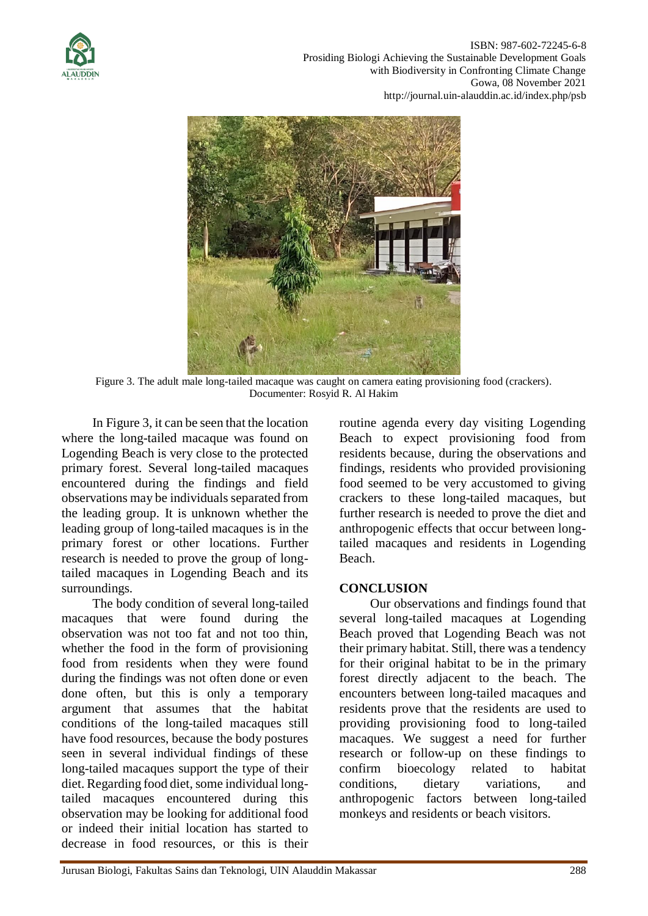



Figure 3. The adult male long-tailed macaque was caught on camera eating provisioning food (crackers). Documenter: Rosyid R. Al Hakim

In Figure 3, it can be seen that the location where the long-tailed macaque was found on Logending Beach is very close to the protected primary forest. Several long-tailed macaques encountered during the findings and field observations may be individuals separated from the leading group. It is unknown whether the leading group of long-tailed macaques is in the primary forest or other locations. Further research is needed to prove the group of longtailed macaques in Logending Beach and its surroundings.

The body condition of several long-tailed macaques that were found during the observation was not too fat and not too thin, whether the food in the form of provisioning food from residents when they were found during the findings was not often done or even done often, but this is only a temporary argument that assumes that the habitat conditions of the long-tailed macaques still have food resources, because the body postures seen in several individual findings of these long-tailed macaques support the type of their diet. Regarding food diet, some individual longtailed macaques encountered during this observation may be looking for additional food or indeed their initial location has started to decrease in food resources, or this is their

routine agenda every day visiting Logending Beach to expect provisioning food from residents because, during the observations and findings, residents who provided provisioning food seemed to be very accustomed to giving crackers to these long-tailed macaques, but further research is needed to prove the diet and anthropogenic effects that occur between longtailed macaques and residents in Logending Beach.

# **CONCLUSION**

Our observations and findings found that several long-tailed macaques at Logending Beach proved that Logending Beach was not their primary habitat. Still, there was a tendency for their original habitat to be in the primary forest directly adjacent to the beach. The encounters between long-tailed macaques and residents prove that the residents are used to providing provisioning food to long-tailed macaques. We suggest a need for further research or follow-up on these findings to confirm bioecology related to habitat conditions, dietary variations, and anthropogenic factors between long-tailed monkeys and residents or beach visitors.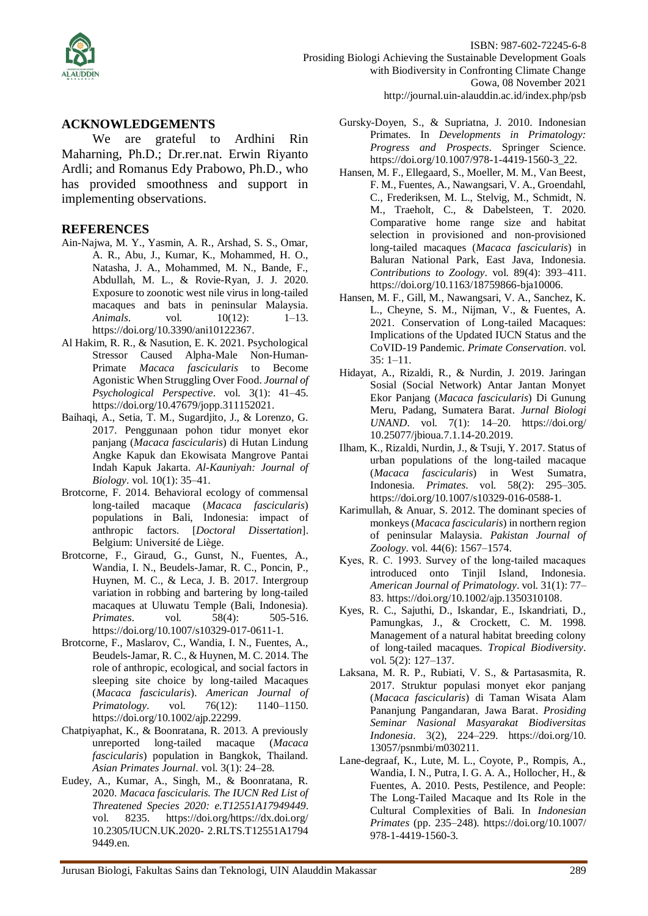

ISBN: 987-602-72245-6-8 Prosiding Biologi Achieving the Sustainable Development Goals with Biodiversity in Confronting Climate Change Gowa, 08 November 2021 http://journal.uin-alauddin.ac.id/index.php/psb

### **ACKNOWLEDGEMENTS**

We are grateful to Ardhini Rin Maharning, Ph.D.; Dr.rer.nat. Erwin Riyanto Ardli; and Romanus Edy Prabowo, Ph.D., who has provided smoothness and support in implementing observations.

### **REFERENCES**

- Ain-Najwa, M. Y., Yasmin, A. R., Arshad, S. S., Omar, A. R., Abu, J., Kumar, K., Mohammed, H. O., Natasha, J. A., Mohammed, M. N., Bande, F., Abdullah, M. L., & Rovie-Ryan, J. J. 2020. Exposure to zoonotic west nile virus in long-tailed macaques and bats in peninsular Malaysia. *Animals*. vol. 10(12): 1–13. https://doi.org/10.3390/ani10122367.
- Al Hakim, R. R., & Nasution, E. K. 2021. Psychological Stressor Caused Alpha-Male Non-Human-Primate *Macaca fascicularis* to Become Agonistic When Struggling Over Food. *Journal of Psychological Perspective*. vol. 3(1): 41–45. https://doi.org/10.47679/jopp.311152021.
- Baihaqi, A., Setia, T. M., Sugardjito, J., & Lorenzo, G. 2017. Penggunaan pohon tidur monyet ekor panjang (*Macaca fascicularis*) di Hutan Lindung Angke Kapuk dan Ekowisata Mangrove Pantai Indah Kapuk Jakarta. *Al-Kauniyah: Journal of Biology*. vol. 10(1): 35–41.
- Brotcorne, F. 2014. Behavioral ecology of commensal long-tailed macaque (*Macaca fascicularis*) populations in Bali, Indonesia: impact of anthropic factors. [*Doctoral Dissertation*]. Belgium: Université de Liège.
- Brotcorne, F., Giraud, G., Gunst, N., Fuentes, A., Wandia, I. N., Beudels-Jamar, R. C., Poncin, P., Huynen, M. C., & Leca, J. B. 2017. Intergroup variation in robbing and bartering by long-tailed macaques at Uluwatu Temple (Bali, Indonesia). *Primates.* vol. 58(4): 505-516. https://doi.org/10.1007/s10329-017-0611-1.
- Brotcorne, F., Maslarov, C., Wandia, I. N., Fuentes, A., Beudels-Jamar, R. C., & Huynen, M. C. 2014. The role of anthropic, ecological, and social factors in sleeping site choice by long-tailed Macaques (*Macaca fascicularis*). *American Journal of Primatology.* vol. 76(12): 1140–1150. https://doi.org/10.1002/ajp.22299.
- Chatpiyaphat, K., & Boonratana, R. 2013. A previously unreported long-tailed macaque (*Macaca fascicularis*) population in Bangkok, Thailand. *Asian Primates Journal*. vol. 3(1): 24–28.
- Eudey, A., Kumar, A., Singh, M., & Boonratana, R. 2020. *Macaca fascicularis. The IUCN Red List of Threatened Species 2020: e.T12551A17949449*. vol. 8235. https://doi.org/https://dx.doi.org/ 10.2305/IUCN.UK.2020- 2.RLTS.T12551A1794 9449.en.
- Gursky-Doyen, S., & Supriatna, J. 2010. Indonesian Primates. In *Developments in Primatology: Progress and Prospects*. Springer Science. https://doi.org/10.1007/978-1-4419-1560-3\_22.
- Hansen, M. F., Ellegaard, S., Moeller, M. M., Van Beest, F. M., Fuentes, A., Nawangsari, V. A., Groendahl, C., Frederiksen, M. L., Stelvig, M., Schmidt, N. M., Traeholt, C., & Dabelsteen, T. 2020. Comparative home range size and habitat selection in provisioned and non-provisioned long-tailed macaques (*Macaca fascicularis*) in Baluran National Park, East Java, Indonesia. *Contributions to Zoology*. vol. 89(4): 393–411. https://doi.org/10.1163/18759866-bja10006.
- Hansen, M. F., Gill, M., Nawangsari, V. A., Sanchez, K. L., Cheyne, S. M., Nijman, V., & Fuentes, A. 2021. Conservation of Long-tailed Macaques: Implications of the Updated IUCN Status and the CoVID-19 Pandemic. *Primate Conservation*. vol. 35: 1–11.
- Hidayat, A., Rizaldi, R., & Nurdin, J. 2019. Jaringan Sosial (Social Network) Antar Jantan Monyet Ekor Panjang (*Macaca fascicularis*) Di Gunung Meru, Padang, Sumatera Barat. *Jurnal Biologi UNAND*. vol. 7(1): 14–20. https://doi.org/ 10.25077/jbioua.7.1.14-20.2019.
- Ilham, K., Rizaldi, Nurdin, J., & Tsuji, Y. 2017. Status of urban populations of the long-tailed macaque (*Macaca fascicularis*) in West Sumatra, Indonesia. *Primates*. vol. 58(2): 295–305. https://doi.org/10.1007/s10329-016-0588-1.
- Karimullah, & Anuar, S. 2012. The dominant species of monkeys (*Macaca fascicularis*) in northern region of peninsular Malaysia. *Pakistan Journal of Zoology*. vol. 44(6): 1567–1574.
- Kyes, R. C. 1993. Survey of the long-tailed macaques introduced onto Tinjil Island, Indonesia. *American Journal of Primatology*. vol. 31(1): 77– 83. https://doi.org/10.1002/ajp.1350310108.
- Kyes, R. C., Sajuthi, D., Iskandar, E., Iskandriati, D., Pamungkas, J., & Crockett, C. M. 1998. Management of a natural habitat breeding colony of long-tailed macaques. *Tropical Biodiversity*. vol. 5(2): 127–137.
- Laksana, M. R. P., Rubiati, V. S., & Partasasmita, R. 2017. Struktur populasi monyet ekor panjang (*Macaca fascicularis*) di Taman Wisata Alam Pananjung Pangandaran, Jawa Barat. *Prosiding Seminar Nasional Masyarakat Biodiversitas Indonesia*. 3(2), 224–229. https://doi.org/10. 13057/psnmbi/m030211.
- Lane-degraaf, K., Lute, M. L., Coyote, P., Rompis, A., Wandia, I. N., Putra, I. G. A. A., Hollocher, H., & Fuentes, A. 2010. Pests, Pestilence, and People: The Long-Tailed Macaque and Its Role in the Cultural Complexities of Bali. In *Indonesian Primates* (pp. 235–248). https://doi.org/10.1007/ 978-1-4419-1560-3.